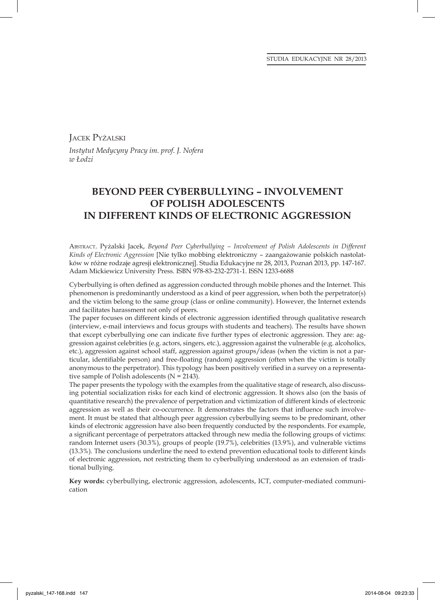JACEK PYŻALSKI *Instytut Medycyny Pracy im. prof. J. Nofera w Łodzi*

# **BEYOND PEER CYBERBULLYING – INVOLVEMENT OF POLISH ADOLESCENTS IN DIFFERENT KINDS OF ELECTRONIC AGGRESSION**

ABSTRACT. Pyżalski Jacek, *Beyond Peer Cyberbullying – Involvement of Polish Adolescents in Different Kinds of Electronic Aggression* [Nie tylko mobbing elektroniczny – zaangażowanie polskich nastolatków w różne rodzaje agresji elektronicznej]. Studia Edukacyjne nr 28, 2013, Poznań 2013, pp. 147-167. Adam Mickiewicz University Press. ISBN 978-83-232-2731-1. ISSN 1233-6688

Cyberbullying is often defined as aggression conducted through mobile phones and the Internet. This phenomenon is predominantly understood as a kind of peer aggression, when both the perpetrator(s) and the victim belong to the same group (class or online community). However, the Internet extends and facilitates harassment not only of peers.

The paper focuses on different kinds of electronic aggression identified through qualitative research (interview, e-mail interviews and focus groups with students and teachers). The results have shown that except cyberbullying one can indicate five further types of electronic aggression. They are: aggression against celebrities (e.g. actors, singers, etc.), aggression against the vulnerable (e.g. alcoholics, etc.), aggression against school staff, aggression against groups/ideas (when the victim is not a particular, identifiable person) and free-floating (random) aggression (often when the victim is totally anonymous to the perpetrator). This typology has been positively verified in a survey on a representative sample of Polish adolescents (N = 2143).

The paper presents the typology with the examples from the qualitative stage of research, also discussing potential socialization risks for each kind of electronic aggression. It shows also (on the basis of quantitative research) the prevalence of perpetration and victimization of different kinds of electronic aggression as well as their co-occurrence. It demonstrates the factors that influence such involvement. It must be stated that although peer aggression cyberbullying seems to be predominant, other kinds of electronic aggression have also been frequently conducted by the respondents. For example, a significant percentage of perpetrators attacked through new media the following groups of victims: random Internet users (30.3%), groups of people (19.7%), celebrities (13.9%), and vulnerable victims (13.3%). The conclusions underline the need to extend prevention educational tools to different kinds of electronic aggression, not restricting them to cyberbullying understood as an extension of traditional bullying.

**Key words:** cyberbullying, electronic aggression, adolescents, ICT, computer-mediated communication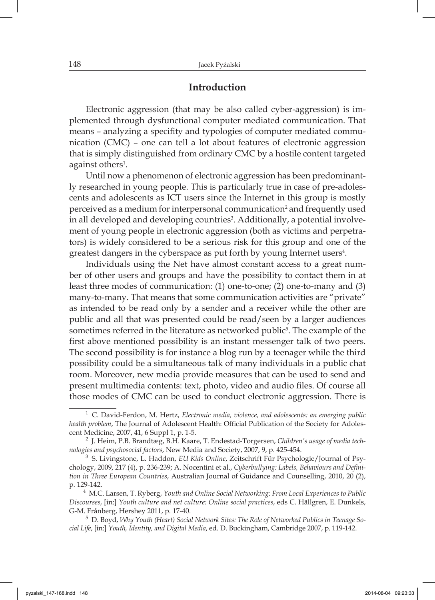### **Introduction**

Electronic aggression (that may be also called cyber-aggression) is implemented through dysfunctional computer mediated communication. That means – analyzing a specifity and typologies of computer mediated communication (CMC) – one can tell a lot about features of electronic aggression that is simply distinguished from ordinary CMC by a hostile content targeted against others<sup>1</sup>.

Until now a phenomenon of electronic aggression has been predominantly researched in young people. This is particularly true in case of pre-adolescents and adolescents as ICT users since the Internet in this group is mostly perceived as a medium for interpersonal communication<sup>2</sup> and frequently used in all developed and developing countries<sup>3</sup>. Additionally, a potential involvement of young people in electronic aggression (both as victims and perpetrators) is widely considered to be a serious risk for this group and one of the greatest dangers in the cyberspace as put forth by young Internet users<sup>4</sup>.

Individuals using the Net have almost constant access to a great number of other users and groups and have the possibility to contact them in at least three modes of communication: (1) one-to-one; (2) one-to-many and (3) many-to-many. That means that some communication activities are "private" as intended to be read only by a sender and a receiver while the other are public and all that was presented could be read/seen by a larger audiences sometimes referred in the literature as networked public<sup>5</sup>. The example of the first above mentioned possibility is an instant messenger talk of two peers. The second possibility is for instance a blog run by a teenager while the third possibility could be a simultaneous talk of many individuals in a public chat room. Moreover, new media provide measures that can be used to send and present multimedia contents: text, photo, video and audio files. Of course all those modes of CMC can be used to conduct electronic aggression. There is

<sup>1</sup>C. David-Ferdon, M. Hertz, *Electronic media, violence, and adolescents: an emerging public health problem*, The Journal of Adolescent Health: Official Publication of the Society for Adolescent Medicine, 2007, 41, 6 Suppl 1, p. 1-5.

<sup>2</sup>J. Heim, P.B. Brandtæg, B.H. Kaare, T. Endestad-Torgersen, *Children's usage of media technologies and psychosocial factors*, New Media and Society, 2007, 9, p. 425-454.

<sup>&</sup>lt;sup>3</sup> S. Livingstone, L. Haddon, *EU Kids Online*, Zeitschrift Für Psychologie/Journal of Psychology, 2009, 217 (4), p. 236-239; A. Nocentini et al., *Cyberbullying: Labels, Behaviours and Definition in Three European Countries*, Australian Journal of Guidance and Counselling, 2010, 20 (2), p. 129-142.

<sup>4</sup> M.C. Larsen, T. Ryberg, *Youth and Online Social Networking: From Local Experiences to Public Discourses*, [in:] *Youth culture and net culture: Online social practices*, eds C. Hällgren, E. Dunkels, G-M. Frånberg, Hershey 2011, p. 17-40.

<sup>5</sup>D. Boyd, *Why Youth (Heart) Social Network Sites: The Role of Networked Publics in Teenage Social Life*, [in:] *Youth, Identity, and Digital Media*, ed. D. Buckingham, Cambridge 2007, p. 119-142.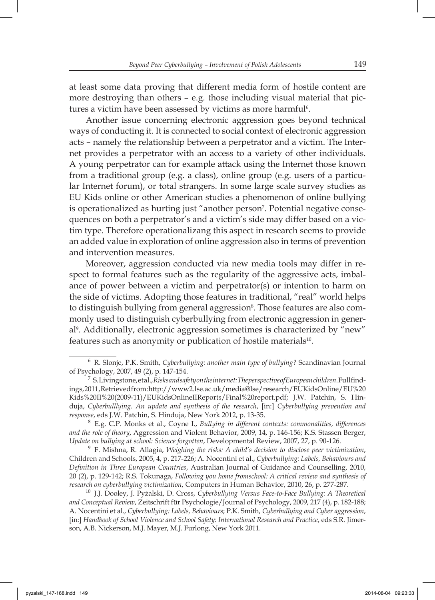at least some data proving that different media form of hostile content are more destroying than others – e.g. those including visual material that pictures a victim have been assessed by victims as more harmful $^{\rm 6}.$ 

Another issue concerning electronic aggression goes beyond technical ways of conducting it. It is connected to social context of electronic aggression acts – namely the relationship between a perpetrator and a victim. The Internet provides a perpetrator with an access to a variety of other individuals. A young perpetrator can for example attack using the Internet those known from a traditional group (e.g. a class), online group (e.g. users of a particular Internet forum), or total strangers. In some large scale survey studies as EU Kids online or other American studies a phenomenon of online bullying is operationalized as hurting just "another person<sup>7</sup>. Potential negative consequences on both a perpetrator's and a victim's side may differ based on a victim type. Therefore operationalizang this aspect in research seems to provide an added value in exploration of online aggression also in terms of prevention and intervention measures.

Moreover, aggression conducted via new media tools may differ in respect to formal features such as the regularity of the aggressive acts, imbalance of power between a victim and perpetrator(s) or intention to harm on the side of victims. Adopting those features in traditional, "real" world helps to distinguish bullying from general aggression<sup>8</sup>. Those features are also commonly used to distinguish cyberbullying from electronic aggression in general9 . Additionally, electronic aggression sometimes is characterized by "new" features such as anonymity or publication of hostile materials<sup>10</sup>.

Children and Schools, 2005, 4, p. 217-226; A. Nocentini et al., *Cyberbullying: Labels, Behaviours and Defi nition in Three European Countries*, Australian Journal of Guidance and Counselling, 2010, 20 (2), p. 129-142; R.S. Tokunaga, *Following you home fromschool: A critical review and synthesis of research on cyberbullying victimization*, Computers in Human Behavior, 2010, 26, p. 277-287.

 <sup>6</sup> R. Slonje, P.K. Smith, *Cyberbullying: another main type of bullying?* Scandinavian Journal of Psychology, 2007, 49 (2), p. 147-154.<br><sup>7</sup> S. Livingstone, et al., *Risks and safety on the internet: The perspective of European children*. Full find-

ings, 2011, Retrieved from: http://www2.lse.ac.uk/media@lse/research/EUKidsOnline/EU%20 Kids%20II%20(2009-11)/EUKidsOnlineIIReports/Final%20report.pdf; J.W. Patchin, S. Hinduja, *Cyberbulllying. An update and synthesis of the research*, [in:] *Cyberbullying prevention and response*, eds J.W. Patchin, S. Hinduja, New York 2012, p. 13-35.

<sup>8</sup>E.g. C.P. Monks et al., Coyne I., *Bullying in different contexts: commonalities, differences and the role of theory*, Aggression and Violent Behavior, 2009, 14, p. 146-156; K.S. Stassen Berger, *Update on bullying at school: Science forgotten*, Developmental Review, 2007, 27, p. 90-126. 9 F. Mishna, R. Allagia, *Weighing the risks: A child's decision to disclose peer victimization*,

<sup>&</sup>lt;sup>10</sup> J.J. Dooley, J. Pyżalski, D. Cross, Cyberbullying Versus Face-to-Face Bullying: A Theoretical *and Conceptual Review*, Zeitschrift für Psychologie/Journal of Psychology, 2009, 217 (4), p. 182-188; A. Nocentini et al., *Cyberbullying: Labels, Behaviours*; P.K. Smith, *Cyberbullying and Cyber aggression*, [in:] *Handbook of School Violence and School Safety: International Research and Practice*, eds S.R. Jimerson, A.B. Nickerson, M.J. Mayer, M.J. Furlong, New York 2011.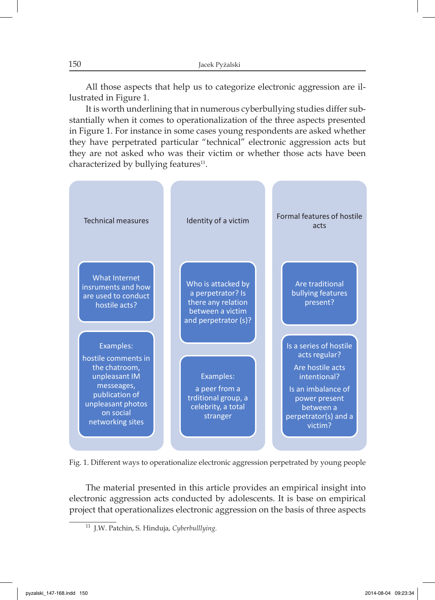All those aspects that help us to categorize electronic aggression are illustrated in Figure 1.

It is worth underlining that in numerous cyberbullying studies differ substantially when it comes to operationalization of the three aspects presented in Figure 1. For instance in some cases young respondents are asked whether they have perpetrated particular "technical" electronic aggression acts but they are not asked who was their victim or whether those acts have been characterized by bullying features $11$ .



Fig. 1. Different ways to operationalize electronic aggression perpetrated by young people

The material presented in this article provides an empirical insight into electronic aggression acts conducted by adolescents. It is base on empirical project that operationalizes electronic aggression on the basis of three aspects

<sup>&</sup>lt;sup>11</sup> J.W. Patchin, S. Hinduja, *Cyberbulllying*.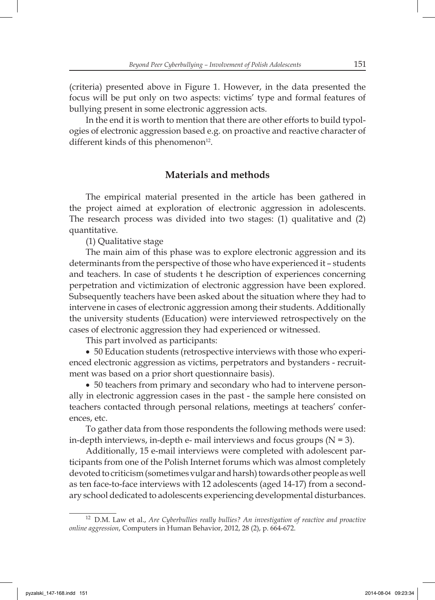(criteria) presented above in Figure 1. However, in the data presented the focus will be put only on two aspects: victims' type and formal features of bullying present in some electronic aggression acts.

In the end it is worth to mention that there are other efforts to build typologies of electronic aggression based e.g. on proactive and reactive character of different kinds of this phenomenon $12$ .

## **Materials and methods**

The empirical material presented in the article has been gathered in the project aimed at exploration of electronic aggression in adolescents. The research process was divided into two stages: (1) qualitative and (2) quantitative.

(1) Qualitative stage

The main aim of this phase was to explore electronic aggression and its determinants from the perspective of those who have experienced it – students and teachers. In case of students t he description of experiences concerning perpetration and victimization of electronic aggression have been explored. Subsequently teachers have been asked about the situation where they had to intervene in cases of electronic aggression among their students. Additionally the university students (Education) were interviewed retrospectively on the cases of electronic aggression they had experienced or witnessed.

This part involved as participants:

• 50 Education students (retrospective interviews with those who experienced electronic aggression as victims, perpetrators and bystanders - recruitment was based on a prior short questionnaire basis).

• 50 teachers from primary and secondary who had to intervene personally in electronic aggression cases in the past - the sample here consisted on teachers contacted through personal relations, meetings at teachers' conferences, etc.

To gather data from those respondents the following methods were used: in-depth interviews, in-depth e- mail interviews and focus groups  $(N = 3)$ .

Additionally, 15 e-mail interviews were completed with adolescent participants from one of the Polish Internet forums which was almost completely devoted to criticism (sometimes vulgar and harsh) towards other people as well as ten face-to-face interviews with 12 adolescents (aged 14-17) from a secondary school dedicated to adolescents experiencing developmental disturbances.

<sup>&</sup>lt;sup>12</sup> D.M. Law et al., *Are Cyberbullies really bullies? An investigation of reactive and proactive online aggression*, Computers in Human Behavior, 2012, 28 (2), p. 664-672.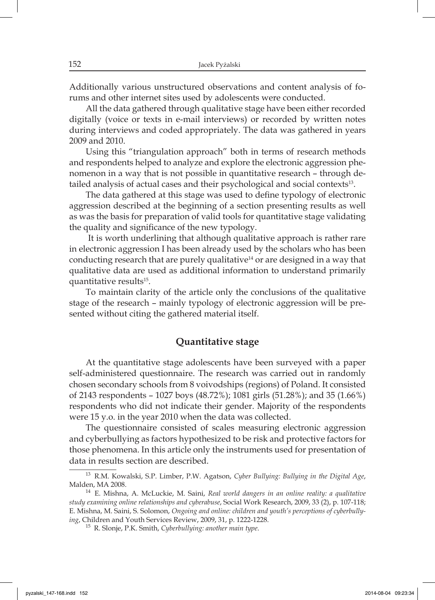Additionally various unstructured observations and content analysis of forums and other internet sites used by adolescents were conducted.

All the data gathered through qualitative stage have been either recorded digitally (voice or texts in e-mail interviews) or recorded by written notes during interviews and coded appropriately. The data was gathered in years 2009 and 2010.

Using this "triangulation approach" both in terms of research methods and respondents helped to analyze and explore the electronic aggression phenomenon in a way that is not possible in quantitative research – through detailed analysis of actual cases and their psychological and social contexts<sup>13</sup>.

The data gathered at this stage was used to define typology of electronic aggression described at the beginning of a section presenting results as well as was the basis for preparation of valid tools for quantitative stage validating the quality and significance of the new typology.

 It is worth underlining that although qualitative approach is rather rare in electronic aggression I has been already used by the scholars who has been conducting research that are purely qualitative<sup>14</sup> or are designed in a way that qualitative data are used as additional information to understand primarily quantitative results15.

To maintain clarity of the article only the conclusions of the qualitative stage of the research – mainly typology of electronic aggression will be presented without citing the gathered material itself.

## **Quantitative stage**

At the quantitative stage adolescents have been surveyed with a paper self-administered questionnaire. The research was carried out in randomly chosen secondary schools from 8 voivodships (regions) of Poland. It consisted of 2143 respondents – 1027 boys (48.72%); 1081 girls (51.28%); and 35 (1.66%) respondents who did not indicate their gender. Majority of the respondents were 15 y.o. in the year 2010 when the data was collected.

The questionnaire consisted of scales measuring electronic aggression and cyberbullying as factors hypothesized to be risk and protective factors for those phenomena. In this article only the instruments used for presentation of data in results section are described.

<sup>13</sup>R.M. Kowalski, S.P. Limber, P.W. Agatson, *Cyber Bullying: Bullying in the Digital Age*, Malden, MA 2008.

<sup>14</sup> E. Mishna, A. McLuckie, M. Saini, *Real world dangers in an online reality: a qualitative study examining online relationships and cyberabuse*, Social Work Research, 2009, 33 (2), p. 107-118; E. Mishna, M. Saini, S. Solomon, *Ongoing and online: children and youth's perceptions of cyberbullying*, Children and Youth Services Review, 2009, 31, p. 1222-1228.

<sup>&</sup>lt;sup>15</sup> R. Slonje, P.K. Smith, *Cyberbullying: another main type*.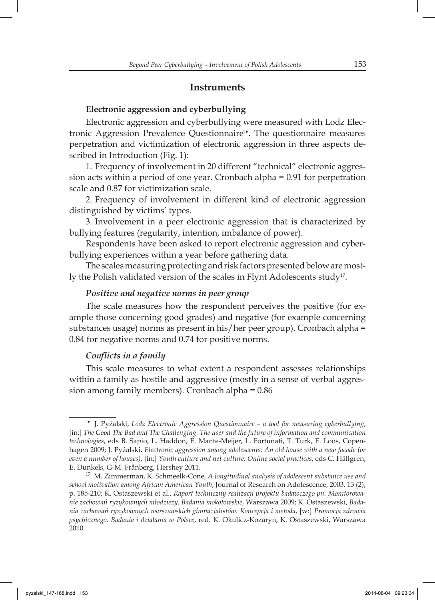### **Instruments**

#### **Electronic aggression and cyberbullying**

Electronic aggression and cyberbullying were measured with Lodz Electronic Aggression Prevalence Questionnaire<sup>16</sup>. The questionnaire measures perpetration and victimization of electronic aggression in three aspects described in Introduction (Fig. 1):

1. Frequency of involvement in 20 different "technical" electronic aggression acts within a period of one year. Cronbach alpha = 0.91 for perpetration scale and 0.87 for victimization scale.

2. Frequency of involvement in different kind of electronic aggression distinguished by victims' types.

3. Involvement in a peer electronic aggression that is characterized by bullying features (regularity, intention, imbalance of power).

Respondents have been asked to report electronic aggression and cyberbullying experiences within a year before gathering data.

The scales measuring protecting and risk factors presented below are mostly the Polish validated version of the scales in Flynt Adolescents study<sup>17</sup>.

#### *Positive and negative norms in peer group*

The scale measures how the respondent perceives the positive (for example those concerning good grades) and negative (for example concerning substances usage) norms as present in his/her peer group). Cronbach alpha = 0.84 for negative norms and 0.74 for positive norms.

### *Conflicts in a family*

This scale measures to what extent a respondent assesses relationships within a family as hostile and aggressive (mostly in a sense of verbal aggression among family members). Cronbach alpha = 0.86

<sup>16</sup> J. Pyżalski, *Lodz Electronic Aggression Questionnaire – a tool for measuring cyberbullying*, [in:] *The Good The Bad and The Challenging. The user and the future of information and communication technologies*, eds B. Sapio, L. Haddon, E. Mante-Meijer, L. Fortunati, T. Turk, E. Loos, Copenhagen 2009; J. Pyżalski, *Electronic aggression among adolescents: An old house with a new facade (or even a number of houses)*, [in:] *Youth culture and net culture: Online social practices*, eds C. Hällgren, E. Dunkels, G-M. Frånberg, Hershey 2011.

<sup>17</sup> M. Zimmerman, K. Schmeelk-Cone, *A longitudinal analysis of adolescent substance use and school motivation among African American Youth*, Journal of Research on Adolescence, 2003, 13 (2), p. 185-210; K. Ostaszewski et al., *Raport techniczny realizacji projektu badawczego pn. Monitorowanie zachowań ryzykownych młodzieży. Badania mokotowskie*, Warszawa 2009; K. Ostaszewski, *Badania zachowań ryzykownych warszawskich gimnazjalistów. Koncepcja i metoda*, [w:] *Promocja zdrowia psychicznego. Badania i działania w Polsce*, red. K. Okulicz-Kozaryn, K. Ostaszewski, Warszawa 2010.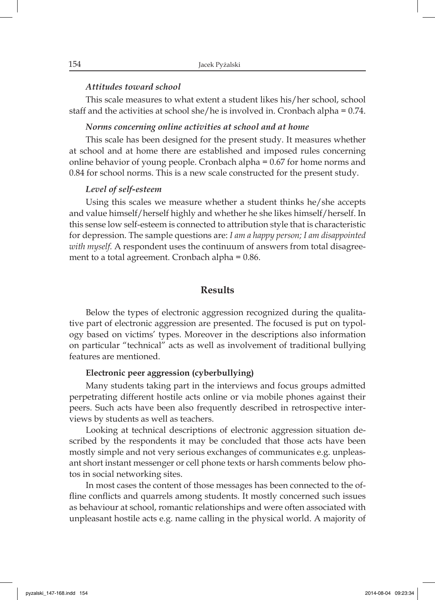#### *Attitudes toward school*

This scale measures to what extent a student likes his/her school, school staff and the activities at school she/he is involved in. Cronbach alpha = 0.74.

#### *Norms concerning online activities at school and at home*

This scale has been designed for the present study. It measures whether at school and at home there are established and imposed rules concerning online behavior of young people. Cronbach alpha = 0.67 for home norms and 0.84 for school norms. This is a new scale constructed for the present study.

#### *Level of self-esteem*

Using this scales we measure whether a student thinks he/she accepts and value himself/herself highly and whether he she likes himself/herself. In this sense low self-esteem is connected to attribution style that is characteristic for depression. The sample questions are: *I am a happy person; I am disappointed with myself.* A respondent uses the continuum of answers from total disagreement to a total agreement. Cronbach alpha = 0.86.

### **Results**

Below the types of electronic aggression recognized during the qualitative part of electronic aggression are presented. The focused is put on typology based on victims' types. Moreover in the descriptions also information on particular "technical" acts as well as involvement of traditional bullying features are mentioned.

#### **Electronic peer aggression (cyberbullying)**

Many students taking part in the interviews and focus groups admitted perpetrating different hostile acts online or via mobile phones against their peers. Such acts have been also frequently described in retrospective interviews by students as well as teachers.

Looking at technical descriptions of electronic aggression situation described by the respondents it may be concluded that those acts have been mostly simple and not very serious exchanges of communicates e.g. unpleasant short instant messenger or cell phone texts or harsh comments below photos in social networking sites.

In most cases the content of those messages has been connected to the offline conflicts and quarrels among students. It mostly concerned such issues as behaviour at school, romantic relationships and were often associated with unpleasant hostile acts e.g. name calling in the physical world. A majority of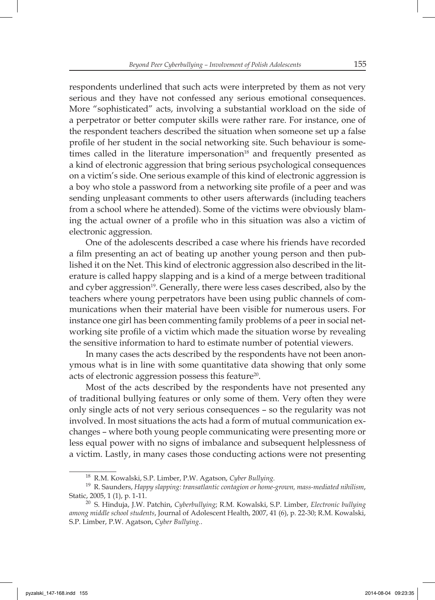respondents underlined that such acts were interpreted by them as not very serious and they have not confessed any serious emotional consequences. More "sophisticated" acts, involving a substantial workload on the side of a perpetrator or better computer skills were rather rare. For instance, one of the respondent teachers described the situation when someone set up a false profile of her student in the social networking site. Such behaviour is sometimes called in the literature impersonation<sup>18</sup> and frequently presented as a kind of electronic aggression that bring serious psychological consequences on a victim's side. One serious example of this kind of electronic aggression is a boy who stole a password from a networking site profile of a peer and was sending unpleasant comments to other users afterwards (including teachers from a school where he attended). Some of the victims were obviously blaming the actual owner of a profile who in this situation was also a victim of electronic aggression.

One of the adolescents described a case where his friends have recorded a film presenting an act of beating up another young person and then published it on the Net. This kind of electronic aggression also described in the literature is called happy slapping and is a kind of a merge between traditional and cyber aggression<sup>19</sup>. Generally, there were less cases described, also by the teachers where young perpetrators have been using public channels of communications when their material have been visible for numerous users. For instance one girl has been commenting family problems of a peer in social networking site profile of a victim which made the situation worse by revealing the sensitive information to hard to estimate number of potential viewers.

In many cases the acts described by the respondents have not been anonymous what is in line with some quantitative data showing that only some acts of electronic aggression possess this feature<sup>20</sup>.

Most of the acts described by the respondents have not presented any of traditional bullying features or only some of them. Very often they were only single acts of not very serious consequences – so the regularity was not involved. In most situations the acts had a form of mutual communication exchanges – where both young people communicating were presenting more or less equal power with no signs of imbalance and subsequent helplessness of a victim. Lastly, in many cases those conducting actions were not presenting

<sup>&</sup>lt;sup>18</sup> R.M. Kowalski, S.P. Limber, P.W. Agatson, *Cyber Bullying*.

<sup>19</sup> R. Saunders, *Happy slapping: transatlantic contagion or home-grown, mass-mediated nihilism*, Static, 2005, 1 (1), p. 1-11.

<sup>20</sup>S. Hinduja, J.W. Patchin, *Cyberbullying*; R.M. Kowalski, S.P. Limber, *Electronic bullying among middle school students*, Journal of Adolescent Health, 2007, 41 (6), p. 22-30; R.M. Kowalski, S.P. Limber, P.W. Agatson, *Cyber Bullying.*.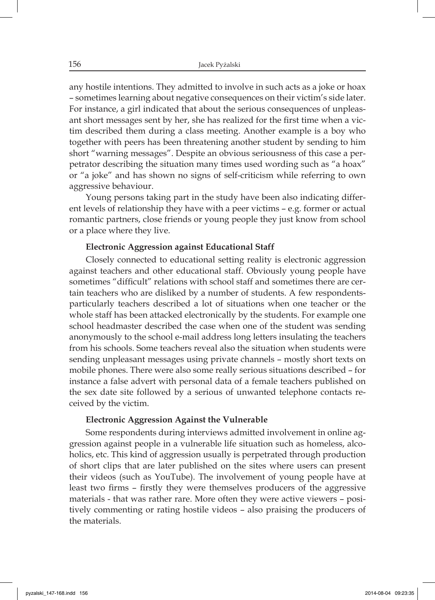any hostile intentions. They admitted to involve in such acts as a joke or hoax – sometimes learning about negative consequences on their victim's side later. For instance, a girl indicated that about the serious consequences of unpleasant short messages sent by her, she has realized for the first time when a victim described them during a class meeting. Another example is a boy who together with peers has been threatening another student by sending to him short "warning messages". Despite an obvious seriousness of this case a perpetrator describing the situation many times used wording such as "a hoax" or "a joke" and has shown no signs of self-criticism while referring to own aggressive behaviour.

Young persons taking part in the study have been also indicating different levels of relationship they have with a peer victims – e.g. former or actual romantic partners, close friends or young people they just know from school or a place where they live.

#### **Electronic Aggression against Educational Staff**

Closely connected to educational setting reality is electronic aggression against teachers and other educational staff. Obviously young people have sometimes "difficult" relations with school staff and sometimes there are certain teachers who are disliked by a number of students. A few respondentsparticularly teachers described a lot of situations when one teacher or the whole staff has been attacked electronically by the students. For example one school headmaster described the case when one of the student was sending anonymously to the school e-mail address long letters insulating the teachers from his schools. Some teachers reveal also the situation when students were sending unpleasant messages using private channels – mostly short texts on mobile phones. There were also some really serious situations described – for instance a false advert with personal data of a female teachers published on the sex date site followed by a serious of unwanted telephone contacts received by the victim.

#### **Electronic Aggression Against the Vulnerable**

Some respondents during interviews admitted involvement in online aggression against people in a vulnerable life situation such as homeless, alcoholics, etc. This kind of aggression usually is perpetrated through production of short clips that are later published on the sites where users can present their videos (such as YouTube). The involvement of young people have at least two firms - firstly they were themselves producers of the aggressive materials - that was rather rare. More often they were active viewers – positively commenting or rating hostile videos – also praising the producers of the materials.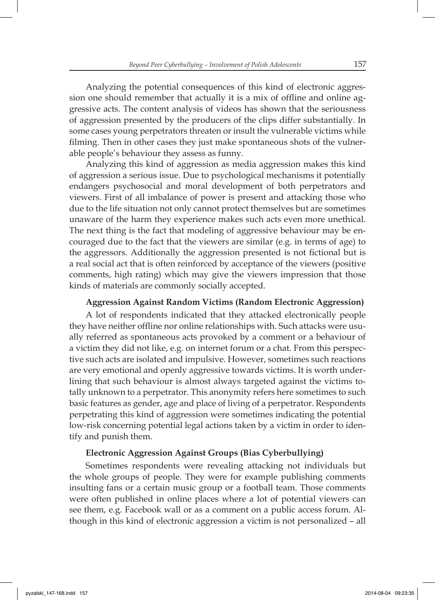Analyzing the potential consequences of this kind of electronic aggression one should remember that actually it is a mix of offline and online aggressive acts. The content analysis of videos has shown that the seriousness of aggression presented by the producers of the clips differ substantially. In some cases young perpetrators threaten or insult the vulnerable victims while filming. Then in other cases they just make spontaneous shots of the vulnerable people's behaviour they assess as funny.

Analyzing this kind of aggression as media aggression makes this kind of aggression a serious issue. Due to psychological mechanisms it potentially endangers psychosocial and moral development of both perpetrators and viewers. First of all imbalance of power is present and attacking those who due to the life situation not only cannot protect themselves but are sometimes unaware of the harm they experience makes such acts even more unethical. The next thing is the fact that modeling of aggressive behaviour may be encouraged due to the fact that the viewers are similar (e.g. in terms of age) to the aggressors. Additionally the aggression presented is not fictional but is a real social act that is often reinforced by acceptance of the viewers (positive comments, high rating) which may give the viewers impression that those kinds of materials are commonly socially accepted.

#### **Aggression Against Random Victims (Random Electronic Aggression)**

A lot of respondents indicated that they attacked electronically people they have neither offline nor online relationships with. Such attacks were usually referred as spontaneous acts provoked by a comment or a behaviour of a victim they did not like, e.g. on internet forum or a chat. From this perspective such acts are isolated and impulsive. However, sometimes such reactions are very emotional and openly aggressive towards victims. It is worth underlining that such behaviour is almost always targeted against the victims totally unknown to a perpetrator. This anonymity refers here sometimes to such basic features as gender, age and place of living of a perpetrator. Respondents perpetrating this kind of aggression were sometimes indicating the potential low-risk concerning potential legal actions taken by a victim in order to identify and punish them.

#### **Electronic Aggression Against Groups (Bias Cyberbullying)**

Sometimes respondents were revealing attacking not individuals but the whole groups of people. They were for example publishing comments insulting fans or a certain music group or a football team. Those comments were often published in online places where a lot of potential viewers can see them, e.g. Facebook wall or as a comment on a public access forum. Although in this kind of electronic aggression a victim is not personalized – all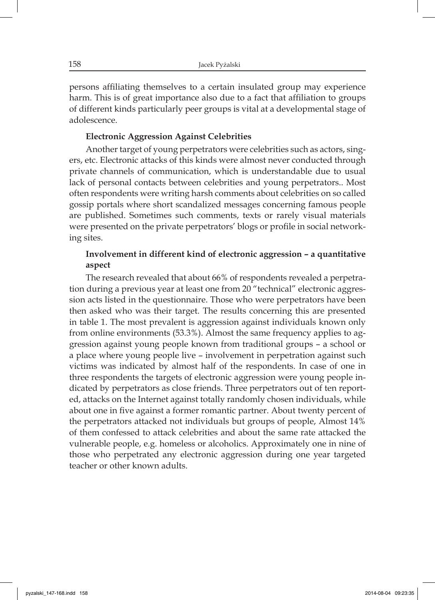persons affiliating themselves to a certain insulated group may experience harm. This is of great importance also due to a fact that affiliation to groups of different kinds particularly peer groups is vital at a developmental stage of adolescence.

#### **Electronic Aggression Against Celebrities**

Another target of young perpetrators were celebrities such as actors, singers, etc. Electronic attacks of this kinds were almost never conducted through private channels of communication, which is understandable due to usual lack of personal contacts between celebrities and young perpetrators.. Most often respondents were writing harsh comments about celebrities on so called gossip portals where short scandalized messages concerning famous people are published. Sometimes such comments, texts or rarely visual materials were presented on the private perpetrators' blogs or profile in social networking sites.

### **Involvement in different kind of electronic aggression – a quantitative aspect**

The research revealed that about 66% of respondents revealed a perpetration during a previous year at least one from 20 "technical" electronic aggression acts listed in the questionnaire. Those who were perpetrators have been then asked who was their target. The results concerning this are presented in table 1. The most prevalent is aggression against individuals known only from online environments (53.3%). Almost the same frequency applies to aggression against young people known from traditional groups – a school or a place where young people live – involvement in perpetration against such victims was indicated by almost half of the respondents. In case of one in three respondents the targets of electronic aggression were young people indicated by perpetrators as close friends. Three perpetrators out of ten reported, attacks on the Internet against totally randomly chosen individuals, while about one in five against a former romantic partner. About twenty percent of the perpetrators attacked not individuals but groups of people, Almost 14% of them confessed to attack celebrities and about the same rate attacked the vulnerable people, e.g. homeless or alcoholics. Approximately one in nine of those who perpetrated any electronic aggression during one year targeted teacher or other known adults.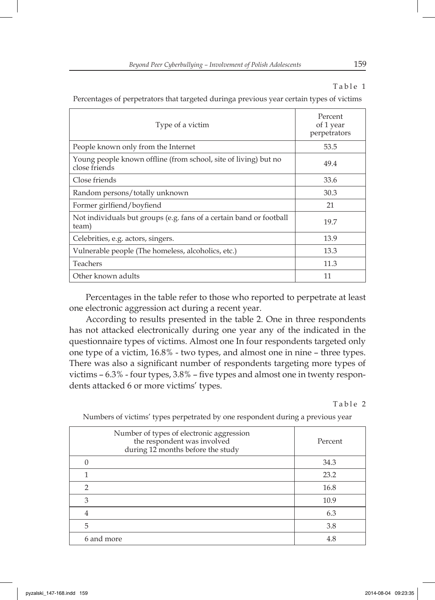#### Table 1

Percentages of perpetrators that targeted duringa previous year certain types of victims

| Type of a victim                                                                 | Percent<br>of 1 year<br>perpetrators |  |
|----------------------------------------------------------------------------------|--------------------------------------|--|
| People known only from the Internet                                              | 53.5                                 |  |
| Young people known offline (from school, site of living) but no<br>close friends | 49.4                                 |  |
| Close friends                                                                    | 33.6                                 |  |
| Random persons/totally unknown                                                   | 30.3                                 |  |
| Former girlfiend/boyfiend                                                        | 21                                   |  |
| Not individuals but groups (e.g. fans of a certain band or football<br>team)     | 19.7                                 |  |
| Celebrities, e.g. actors, singers.                                               | 13.9                                 |  |
| Vulnerable people (The homeless, alcoholics, etc.)                               | 13.3                                 |  |
| Teachers                                                                         | 11.3                                 |  |
| Other known adults                                                               | 11                                   |  |

Percentages in the table refer to those who reported to perpetrate at least one electronic aggression act during a recent year.

According to results presented in the table 2. One in three respondents has not attacked electronically during one year any of the indicated in the questionnaire types of victims. Almost one In four respondents targeted only one type of a victim, 16.8% - two types, and almost one in nine – three types. There was also a significant number of respondents targeting more types of victims –  $6.3\%$  - four types,  $3.8\%$  – five types and almost one in twenty respondents attacked 6 or more victims' types.

Table 2

| Number of types of electronic aggression<br>the respondent was involved<br>during 12 months before the study | Percent |
|--------------------------------------------------------------------------------------------------------------|---------|
|                                                                                                              | 34.3    |
| 1                                                                                                            | 23.2    |
| $\mathfrak{D}$                                                                                               | 16.8    |
| 3                                                                                                            | 10.9    |
| 4                                                                                                            | 6.3     |
| 5                                                                                                            | 3.8     |
| 6 and more                                                                                                   | 4.8     |
|                                                                                                              |         |

Numbers of victims' types perpetrated by one respondent during a previous year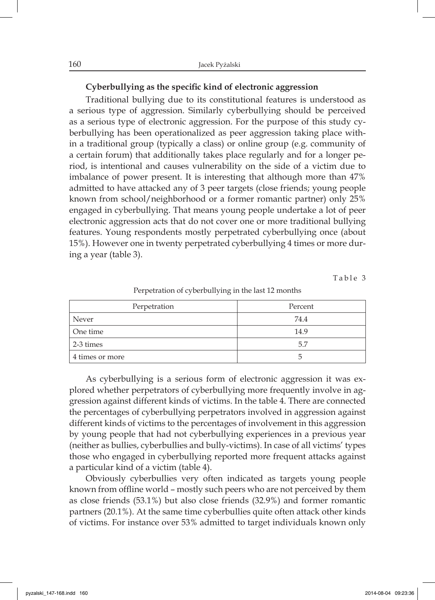#### Cyberbullying as the specific kind of electronic aggression

Traditional bullying due to its constitutional features is understood as a serious type of aggression. Similarly cyberbullying should be perceived as a serious type of electronic aggression. For the purpose of this study cyberbullying has been operationalized as peer aggression taking place within a traditional group (typically a class) or online group (e.g. community of a certain forum) that additionally takes place regularly and for a longer period, is intentional and causes vulnerability on the side of a victim due to imbalance of power present. It is interesting that although more than 47% admitted to have attacked any of 3 peer targets (close friends; young people known from school/neighborhood or a former romantic partner) only 25% engaged in cyberbullying. That means young people undertake a lot of peer electronic aggression acts that do not cover one or more traditional bullying features. Young respondents mostly perpetrated cyberbullying once (about 15%). However one in twenty perpetrated cyberbullying 4 times or more during a year (table 3).

Table 3

| $\sim$          |         |
|-----------------|---------|
| Perpetration    | Percent |
| Never           | 74.4    |
| One time        | 14.9    |
| 2-3 times       | 5.7     |
| 4 times or more |         |

Perpetration of cyberbullying in the last 12 months

As cyberbullying is a serious form of electronic aggression it was explored whether perpetrators of cyberbullying more frequently involve in aggression against different kinds of victims. In the table 4. There are connected the percentages of cyberbullying perpetrators involved in aggression against different kinds of victims to the percentages of involvement in this aggression by young people that had not cyberbullying experiences in a previous year (neither as bullies, cyberbullies and bully-victims). In case of all victims' types those who engaged in cyberbullying reported more frequent attacks against a particular kind of a victim (table 4).

Obviously cyberbullies very often indicated as targets young people known from offline world – mostly such peers who are not perceived by them as close friends (53.1%) but also close friends (32.9%) and former romantic partners (20.1%). At the same time cyberbullies quite often attack other kinds of victims. For instance over 53% admitted to target individuals known only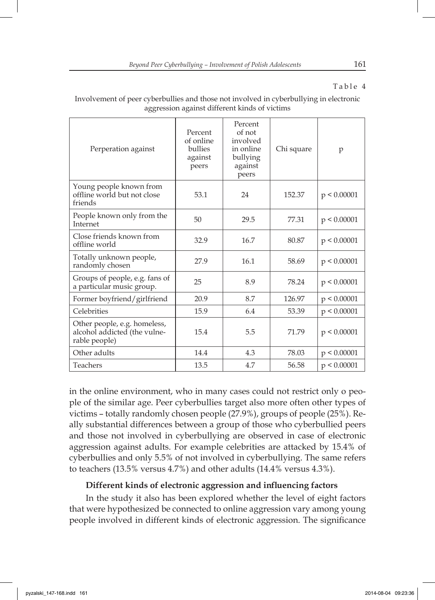Table 4

| Perperation against                                                           | Percent<br>of online<br>bullies<br>against<br>peers | Percent<br>of not<br>involved<br>in online<br>bullying<br>against<br>peers | Chi square | p           |
|-------------------------------------------------------------------------------|-----------------------------------------------------|----------------------------------------------------------------------------|------------|-------------|
| Young people known from<br>offline world but not close<br>friends             | 53.1                                                | 24                                                                         | 152.37     | p < 0.00001 |
| People known only from the<br>Internet                                        | 50                                                  | 29.5                                                                       | 77.31      | p < 0.00001 |
| Close friends known from<br>offline world                                     | 32.9                                                | 16.7                                                                       | 80.87      | p < 0.00001 |
| Totally unknown people,<br>randomly chosen                                    | 27.9                                                | 16.1                                                                       | 58.69      | p < 0.00001 |
| Groups of people, e.g. fans of<br>a particular music group.                   | 25                                                  | 8.9                                                                        | 78.24      | p < 0.00001 |
| Former boyfriend/girlfriend                                                   | 20.9                                                | 8.7                                                                        | 126.97     | p < 0.00001 |
| Celebrities                                                                   | 15.9                                                | 6.4                                                                        | 53.39      | p < 0.00001 |
| Other people, e.g. homeless,<br>alcohol addicted (the vulne-<br>rable people) | 15.4                                                | 5.5                                                                        | 71.79      | p < 0.00001 |
| Other adults                                                                  | 14.4                                                | 4.3                                                                        | 78.03      | p < 0.00001 |
| Teachers                                                                      | 13.5                                                | 4.7                                                                        | 56.58      | p < 0.00001 |

Involvement of peer cyberbullies and those not involved in cyberbullying in electronic aggression against different kinds of victims

in the online environment, who in many cases could not restrict only o people of the similar age. Peer cyberbullies target also more often other types of victims – totally randomly chosen people (27.9%), groups of people (25%). Really substantial differences between a group of those who cyberbullied peers and those not involved in cyberbullying are observed in case of electronic aggression against adults. For example celebrities are attacked by 15.4% of cyberbullies and only 5.5% of not involved in cyberbullying. The same refers to teachers (13.5% versus 4.7%) and other adults (14.4% versus 4.3%).

## **Different kinds of electronic aggression and influencing factors**

In the study it also has been explored whether the level of eight factors that were hypothesized be connected to online aggression vary among young people involved in different kinds of electronic aggression. The significance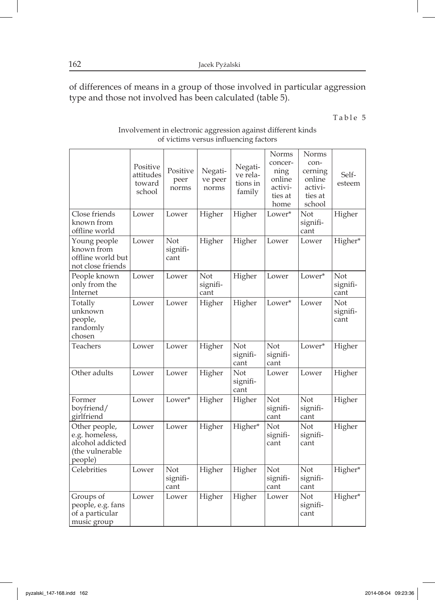of differences of means in a group of those involved in particular aggression type and those not involved has been calculated (table 5).

Table 5

| Involvement in electronic aggression against different kinds |
|--------------------------------------------------------------|
| of victims versus influencing factors                        |

|                                                                                   | Positive<br>attitudes<br>toward<br>school | Positive<br>peer<br>norms | Negati-<br>ve peer<br>norms | Negati-<br>ve rela-<br>tions in<br>family | Norms<br>concer-<br>ning<br>online<br>activi-<br>ties at<br>home | Norms<br>con-<br>cerning<br>online<br>activi-<br>ties at<br>school | Self-<br>esteem         |
|-----------------------------------------------------------------------------------|-------------------------------------------|---------------------------|-----------------------------|-------------------------------------------|------------------------------------------------------------------|--------------------------------------------------------------------|-------------------------|
| Close friends<br>known from<br>offline world                                      | Lower                                     | Lower                     | Higher                      | Higher                                    | Lower*                                                           | Not<br>signifi-<br>cant                                            | Higher                  |
| Young people<br>known from<br>offline world but<br>not close friends              | Lower                                     | Not<br>signifi-<br>cant   | Higher                      | Higher                                    | Lower                                                            | Lower                                                              | Higher*                 |
| People known<br>only from the<br>Internet                                         | Lower                                     | Lower                     | Not<br>signifi-<br>cant     | Higher                                    | Lower                                                            | Lower*                                                             | Not<br>signifi-<br>cant |
| Totally<br>unknown<br>people,<br>randomly<br>chosen                               | Lower                                     | Lower                     | Higher                      | Higher                                    | Lower*                                                           | Lower                                                              | Not<br>signifi-<br>cant |
| Teachers                                                                          | Lower                                     | Lower                     | Higher                      | Not<br>signifi-<br>cant                   | Not<br>signifi-<br>cant                                          | Lower*                                                             | Higher                  |
| Other adults                                                                      | Lower                                     | Lower                     | Higher                      | Not<br>signifi-<br>cant                   | Lower                                                            | Lower                                                              | Higher                  |
| Former<br>boyfriend/<br>girlfriend                                                | Lower                                     | Lower*                    | Higher                      | Higher                                    | Not<br>signifi-<br>cant                                          | Not<br>signifi-<br>cant                                            | Higher                  |
| Other people,<br>e.g. homeless,<br>alcohol addicted<br>(the vulnerable<br>people) | Lower                                     | Lower                     | Higher                      | Higher*                                   | Not<br>signifi-<br>cant                                          | Not<br>signifi-<br>cant                                            | Higher                  |
| Celebrities                                                                       | Lower                                     | Not<br>signifi-<br>cant   | Higher                      | Higher                                    | Not<br>signifi-<br>cant                                          | Not<br>signifi-<br>cant                                            | Higher*                 |
| Groups of<br>people, e.g. fans<br>of a particular<br>music group                  | Lower                                     | Lower                     | Higher                      | Higher                                    | Lower                                                            | Not<br>signifi-<br>cant                                            | Higher*                 |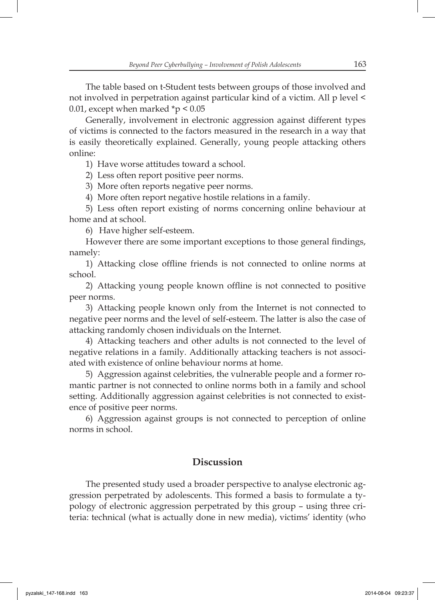The table based on t-Student tests between groups of those involved and not involved in perpetration against particular kind of a victim. All p level < 0.01, except when marked  $\approx p < 0.05$ 

Generally, involvement in electronic aggression against different types of victims is connected to the factors measured in the research in a way that is easily theoretically explained. Generally, young people attacking others online:

1) Have worse attitudes toward a school.

2) Less often report positive peer norms.

3) More often reports negative peer norms.

4) More often report negative hostile relations in a family.

5) Less often report existing of norms concerning online behaviour at home and at school.

6) Have higher self-esteem.

However there are some important exceptions to those general findings, namely:

1) Attacking close offline friends is not connected to online norms at school.

2) Attacking young people known offline is not connected to positive peer norms.

3) Attacking people known only from the Internet is not connected to negative peer norms and the level of self-esteem. The latter is also the case of attacking randomly chosen individuals on the Internet.

4) Attacking teachers and other adults is not connected to the level of negative relations in a family. Additionally attacking teachers is not associated with existence of online behaviour norms at home.

5) Aggression against celebrities, the vulnerable people and a former romantic partner is not connected to online norms both in a family and school setting. Additionally aggression against celebrities is not connected to existence of positive peer norms.

6) Aggression against groups is not connected to perception of online norms in school.

## **Discussion**

The presented study used a broader perspective to analyse electronic aggression perpetrated by adolescents. This formed a basis to formulate a typology of electronic aggression perpetrated by this group – using three criteria: technical (what is actually done in new media), victims' identity (who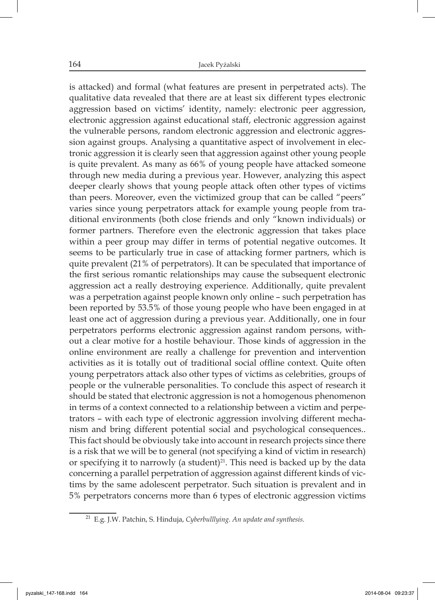is attacked) and formal (what features are present in perpetrated acts). The qualitative data revealed that there are at least six different types electronic aggression based on victims' identity, namely: electronic peer aggression, electronic aggression against educational staff, electronic aggression against the vulnerable persons, random electronic aggression and electronic aggression against groups. Analysing a quantitative aspect of involvement in electronic aggression it is clearly seen that aggression against other young people is quite prevalent. As many as 66% of young people have attacked someone through new media during a previous year. However, analyzing this aspect deeper clearly shows that young people attack often other types of victims than peers. Moreover, even the victimized group that can be called "peers" varies since young perpetrators attack for example young people from traditional environments (both close friends and only "known individuals) or former partners. Therefore even the electronic aggression that takes place within a peer group may differ in terms of potential negative outcomes. It seems to be particularly true in case of attacking former partners, which is quite prevalent (21% of perpetrators). It can be speculated that importance of the first serious romantic relationships may cause the subsequent electronic aggression act a really destroying experience. Additionally, quite prevalent was a perpetration against people known only online – such perpetration has been reported by 53.5% of those young people who have been engaged in at least one act of aggression during a previous year. Additionally, one in four perpetrators performs electronic aggression against random persons, without a clear motive for a hostile behaviour. Those kinds of aggression in the online environment are really a challenge for prevention and intervention activities as it is totally out of traditional social offline context. Quite often young perpetrators attack also other types of victims as celebrities, groups of people or the vulnerable personalities. To conclude this aspect of research it should be stated that electronic aggression is not a homogenous phenomenon in terms of a context connected to a relationship between a victim and perpetrators – with each type of electronic aggression involving different mechanism and bring different potential social and psychological consequences.. This fact should be obviously take into account in research projects since there is a risk that we will be to general (not specifying a kind of victim in research) or specifying it to narrowly (a student) $21$ . This need is backed up by the data concerning a parallel perpetration of aggression against different kinds of victims by the same adolescent perpetrator. Such situation is prevalent and in 5% perpetrators concerns more than 6 types of electronic aggression victims

<sup>21</sup>E.g. J.W. Patchin, S. Hinduja, *Cyberbulllying. An update and synthesis*.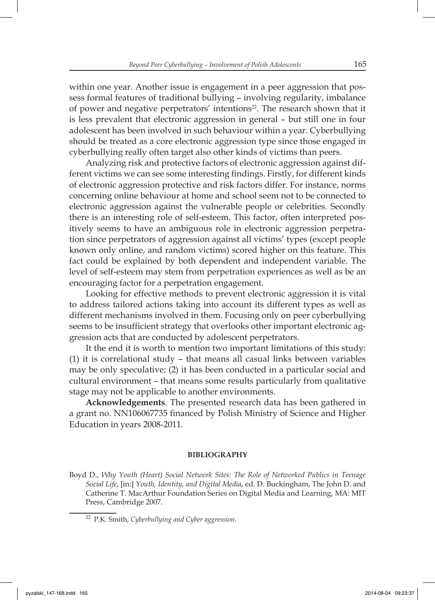within one year. Another issue is engagement in a peer aggression that possess formal features of traditional bullying – involving regularity, imbalance of power and negative perpetrators' intentions<sup>22</sup>. The research shown that it is less prevalent that electronic aggression in general – but still one in four adolescent has been involved in such behaviour within a year. Cyberbullying should be treated as a core electronic aggression type since those engaged in cyberbullying really often target also other kinds of victims than peers.

Analyzing risk and protective factors of electronic aggression against different victims we can see some interesting findings. Firstly, for different kinds of electronic aggression protective and risk factors differ. For instance, norms concerning online behaviour at home and school seem not to be connected to electronic aggression against the vulnerable people or celebrities. Secondly there is an interesting role of self-esteem. This factor, often interpreted positively seems to have an ambiguous role in electronic aggression perpetration since perpetrators of aggression against all victims' types (except people known only online, and random victims) scored higher on this feature. This fact could be explained by both dependent and independent variable. The level of self-esteem may stem from perpetration experiences as well as be an encouraging factor for a perpetration engagement.

Looking for effective methods to prevent electronic aggression it is vital to address tailored actions taking into account its different types as well as different mechanisms involved in them. Focusing only on peer cyberbullying seems to be insufficient strategy that overlooks other important electronic aggression acts that are conducted by adolescent perpetrators.

It the end it is worth to mention two important limitations of this study: (1) it is correlational study – that means all casual links between variables may be only speculative; (2) it has been conducted in a particular social and cultural environment – that means some results particularly from qualitative stage may not be applicable to another environments.

**Acknowledgements**. The presented research data has been gathered in a grant no. NN106067735 financed by Polish Ministry of Science and Higher Education in years 2008-2011.

#### **BIBLIOGRAPHY**

Boyd D., *Why Youth (Heart) Social Network Sites: The Role of Networked Publics in Teenage Social Life*, [in:] *Youth, Identity, and Digital Media*, ed. D. Buckingham, The John D. and Catherine T. MacArthur Foundation Series on Digital Media and Learning, MA: MIT Press, Cambridge 2007.

<sup>22</sup>P.K. Smith, *Cyberbullying and Cyber aggression*.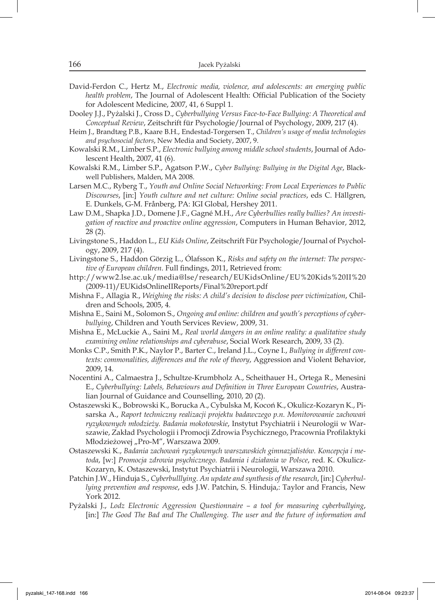- David-Ferdon C., Hertz M., *Electronic media, violence, and adolescents: an emerging public health problem*, The Journal of Adolescent Health: Official Publication of the Society for Adolescent Medicine, 2007, 41, 6 Suppl 1.
- Dooley J.J., Pyżalski J., Cross D., *Cyberbullying Versus Face-to-Face Bullying: A Theoretical and Conceptual Review*, Zeitschrift für Psychologie/Journal of Psychology, 2009, 217 (4).
- Heim J., Brandtæg P.B., Kaare B.H., Endestad-Torgersen T., *Children's usage of media technologies and psychosocial factors*, New Media and Society, 2007, 9.
- Kowalski R.M., Limber S.P., *Electronic bullying among middle school students*, Journal of Adolescent Health, 2007, 41 (6).
- Kowalski R.M., Limber S.P., Agatson P.W., *Cyber Bullying: Bullying in the Digital Age*, Blackwell Publishers, Malden, MA 2008.
- Larsen M.C., Ryberg T., *Youth and Online Social Networking: From Local Experiences to Public Discourses*, [in:] *Youth culture and net culture: Online social practices*, eds C. Hällgren, E. Dunkels, G-M. Frånberg, PA: IGI Global, Hershey 2011.
- Law D.M., Shapka J.D., Domene J.F., Gagné M.H., *Are Cyberbullies really bullies? An investigation of reactive and proactive online aggression*, Computers in Human Behavior, 2012, 28 (2).
- Livingstone S., Haddon L., *EU Kids Online*, Zeitschrift Für Psychologie/Journal of Psychology, 2009, 217 (4).
- Livingstone S., Haddon Görzig L., Ólafsson K., *Risks and safety on the internet: The perspec*tive of European children. Full findings, 2011, Retrieved from:
- http://www2.lse.ac.uk/media@lse/research/EUKidsOnline/EU%20Kids%20II%20 (2009-11)/EUKidsOnlineIIReports/Final%20report.pdf
- Mishna F., Allagia R., *Weighing the risks: A child's decision to disclose peer victimization*, Children and Schools, 2005, 4.
- Mishna E., Saini M., Solomon S., *Ongoing and online: children and youth's perceptions of cyberbullying*, Children and Youth Services Review, 2009, 31.
- Mishna E., McLuckie A., Saini M., *Real world dangers in an online reality: a qualitative study examining online relationships and cyberabuse*, Social Work Research, 2009, 33 (2).
- Monks C.P., Smith P.K., Naylor P., Barter C., Ireland J.L., Coyne I., *Bullying in different contexts: commonalities, differences and the role of theory*, Aggression and Violent Behavior, 2009, 14.
- Nocentini A., Calmaestra J., Schultze-Krumbholz A., Scheithauer H., Ortega R., Menesini E., Cyberbullying: Labels, Behaviours and Definition in Three European Countries, Australian Journal of Guidance and Counselling, 2010, 20 (2).
- Ostaszewski K., Bobrowski K., Borucka A., Cybulska M, Kocoń K., Okulicz-Kozaryn K., Pisarska A., *Raport techniczny realizacji projektu badawczego p.n. Monitorowanie zachowań ryzykownych młodzieży. Badania mokotowskie*, Instytut Psychiatrii i Neurologii w Warszawie, Zakład Psychologii i Promocji Zdrowia Psychicznego, Pracownia Profilaktyki Młodzieżowej "Pro-M", Warszawa 2009.
- Ostaszewski K., *Badania zachowań ryzykownych warszawskich gimnazjalistów. Koncepcja i metoda*, [w:] *Promocja zdrowia psychicznego. Badania i działania w Polsce*, red. K. Okulicz-Kozaryn, K. Ostaszewski, Instytut Psychiatrii i Neurologii, Warszawa 2010.
- Patchin J.W., Hinduja S., *Cyberbulllying. An update and synthesis of the research*, [in:] *Cyberbullying prevention and response*, eds J.W. Patchin, S. Hinduja,: Taylor and Francis, New York 2012.
- Pyżalski J., *Lodz Electronic Aggression Questionnaire a tool for measuring cyberbullying*, [in:] *The Good The Bad and The Challenging. The user and the future of information and*